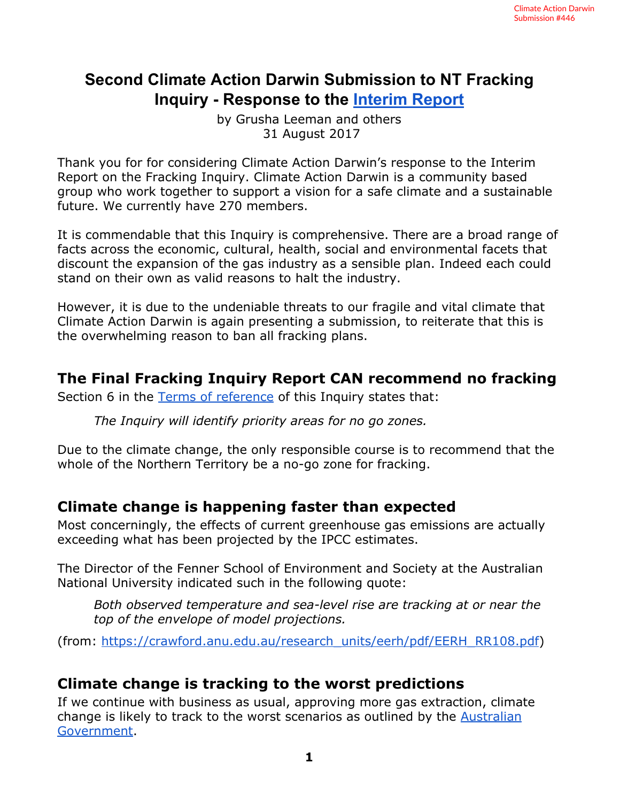## **Second Climate Action Darwin Submission to NT Fracking Inquiry - Response to the [Interim](https://frackinginquiry.nt.gov.au/interim-report) Report**

by Grusha Leeman and others 31 August 2017

Thank you for for considering Climate Action Darwin's response to the Interim Report on the Fracking Inquiry. Climate Action Darwin is a community based group who work together to support a vision for a safe climate and a sustainable future. We currently have 270 members.

It is commendable that this Inquiry is comprehensive. There are a broad range of facts across the economic, cultural, health, social and environmental facets that discount the expansion of the gas industry as a sensible plan. Indeed each could stand on their own as valid reasons to halt the industry.

However, it is due to the undeniable threats to our fragile and vital climate that Climate Action Darwin is again presenting a submission, to reiterate that this is the overwhelming reason to ban all fracking plans.

### **The Final Fracking Inquiry Report CAN recommend no fracking**

Section 6 in the Terms of [reference](https://frackinginquiry.nt.gov.au/terms-of-reference) of this Inquiry states that:

*The Inquiry will identify priority areas for no go zones.*

Due to the climate change, the only responsible course is to recommend that the whole of the Northern Territory be a no-go zone for fracking.

### **Climate change is happening faster than expected**

Most concerningly, the effects of current greenhouse gas emissions are actually exceeding what has been projected by the IPCC estimates.

The Director of the Fenner School of Environment and Society at the Australian National University indicated such in the following quote:

*Both observed temperature and sea-level rise are tracking at or near the top of the envelope of model projections.* 

(from: [https://crawford.anu.edu.au/research\\_units/eerh/pdf/EERH\\_RR108.pdf](https://crawford.anu.edu.au/research_units/eerh/pdf/EERH_RR108.pdf))

### **Climate change is tracking to the worst predictions**

If we continue with business as usual, approving more gas extraction, climate change is likely to track to the worst scenarios as outlined by the [Australian](https://coastadapt.com.au/climate-change-and-sea-level-rise-australian-region) [Government.](https://coastadapt.com.au/climate-change-and-sea-level-rise-australian-region)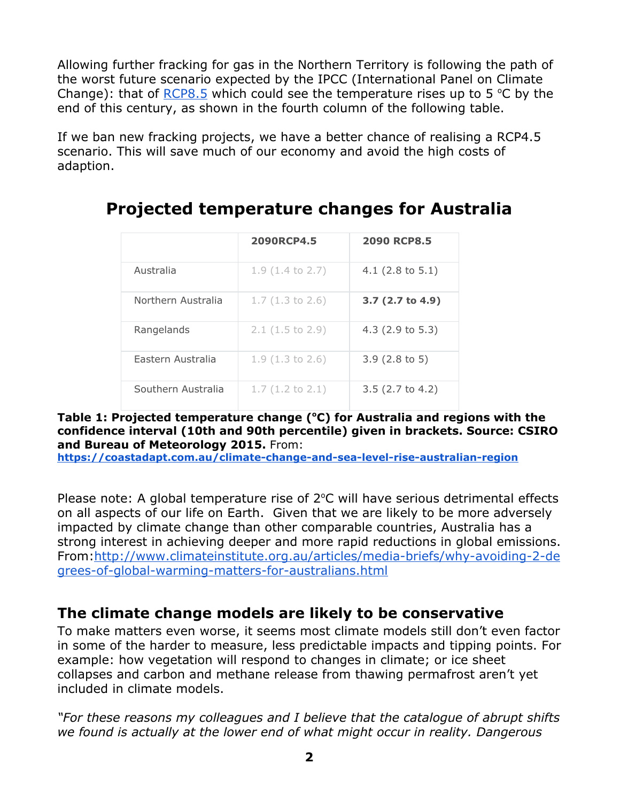Allowing further fracking for gas in the Northern Territory is following the path of the worst future scenario expected by the IPCC (International Panel on Climate Change): that of  $RCP8.5$  which could see the temperature rises up to 5 °C by the end of this century, as shown in the fourth column of the following table.

If we ban new fracking projects, we have a better chance of realising a RCP4.5 scenario. This will save much of our economy and avoid the high costs of adaption.

|                    | 2090RCP4.5                 | <b>2090 RCP8.5</b>          |
|--------------------|----------------------------|-----------------------------|
| Australia          | $1.9(1.4 \text{ to } 2.7)$ | 4.1 $(2.8 \text{ to } 5.1)$ |
| Northern Australia | $1.7(1.3 \text{ to } 2.6)$ | 3.7 (2.7 to 4.9)            |
| Rangelands         | $2.1(1.5 \text{ to } 2.9)$ | $4.3$ (2.9 to 5.3)          |
| Fastern Australia  | $1.9(1.3 \text{ to } 2.6)$ | $3.9(2.8 \text{ to } 5)$    |
| Southern Australia | $1.7(1.2 \text{ to } 2.1)$ | $3.5$ (2.7 to 4.2)          |

# **Projected temperature changes for Australia**

#### **Table 1: Projected temperature change ( <sup>o</sup>C) for Australia and regions with the confidence interval (10th and 90th percentile) given in brackets. Source: CSIRO and Bureau of Meteorology 2015.** From:

**<https://coastadapt.com.au/climate-change-and-sea-level-rise-australian-region>**

Please note: A global temperature rise of  $2^{\circ}$ C will have serious detrimental effects on all aspects of our life on Earth. Given that we are likely to be more adversely impacted by climate change than other comparable countries, Australia has a strong interest in achieving deeper and more rapid reductions in global emissions. From[:http://www.climateinstitute.org.au/articles/media-briefs/why-avoiding-2-de](http://www.climateinstitute.org.au/articles/media-briefs/why-avoiding-2-degrees-of-global-warming-matters-for-australians.html) [grees-of-global-warming-matters-for-australians.html](http://www.climateinstitute.org.au/articles/media-briefs/why-avoiding-2-degrees-of-global-warming-matters-for-australians.html)

## **The climate change models are likely to be conservative**

To make matters even worse, it seems most climate models still don't even factor in some of the harder to measure, less predictable impacts and tipping points. For example: how vegetation will respond to changes in climate; or ice sheet collapses and carbon and methane release from thawing permafrost aren't yet included in climate models.

*"For these reasons my colleagues and I believe that the catalogue of abrupt shifts we found is actually at the lower end of what might occur in reality. Dangerous*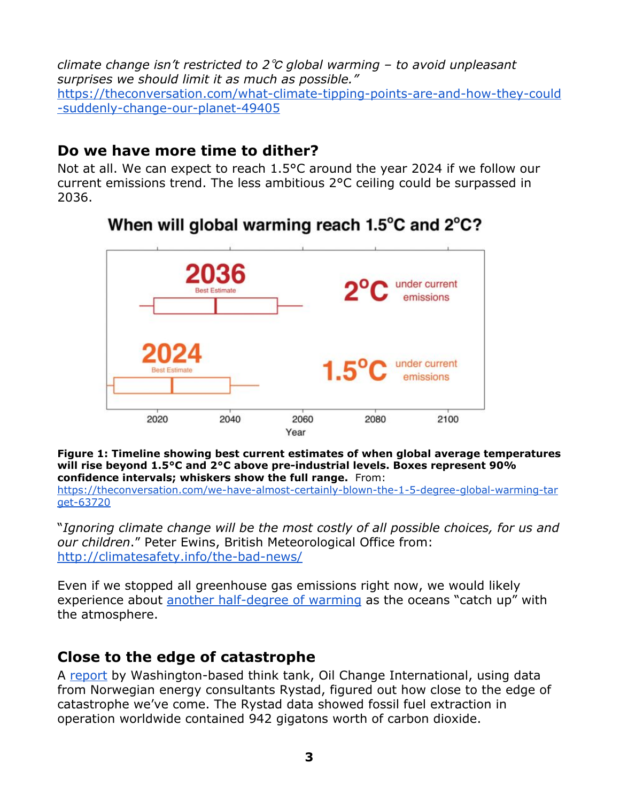*climate change isn't restricted to 2*℃ *global warming – to avoid unpleasant surprises we should limit it as much as possible."* [https://theconversation.com/what-climate-tipping-points-are-and-how-they-could](https://theconversation.com/what-climate-tipping-points-are-and-how-they-could-suddenly-change-our-planet-49405) [-suddenly-change-our-planet-49405](https://theconversation.com/what-climate-tipping-points-are-and-how-they-could-suddenly-change-our-planet-49405)

## **Do we have more time to dither?**

Not at all. We can expect to reach 1.5°C around the year 2024 if we follow our current emissions trend. The less ambitious 2°C ceiling could be surpassed in 2036.



# When will global warming reach 1.5°C and 2°C?

**Figure 1: Timeline showing best current estimates of when global average temperatures will rise beyond 1.5°C and 2°C above pre-industrial levels. Boxes represent 90% confidence intervals; whiskers show the full range.** From: [https://theconversation.com/we-have-almost-certainly-blown-the-1-5-degree-global-warming-tar](https://theconversation.com/we-have-almost-certainly-blown-the-1-5-degree-global-warming-target-63720) [get-63720](https://theconversation.com/we-have-almost-certainly-blown-the-1-5-degree-global-warming-target-63720)

"*Ignoring climate change will be the most costly of all possible choices, for us and our children*." Peter Ewins, British Meteorological Office from: <http://climatesafety.info/the-bad-news/>

Even if we stopped all greenhouse gas emissions right now, we would likely experience about another [half-degree](https://theconversation.com/what-would-happen-to-the-climate-if-we-stopped-emitting-greenhouse-gases-today-35011) of warming as the oceans "catch up" with the atmosphere.

## **Close to the edge of catastrophe**

A [report](http://priceofoil.org/content/uploads/2016/09/OCI_the_skys_limit_2016_FINAL_2.pdf) by Washington-based think tank, Oil Change International, using data from Norwegian energy consultants Rystad, figured out how close to the edge of catastrophe we've come. The Rystad data showed fossil fuel extraction in operation worldwide contained 942 gigatons worth of carbon dioxide.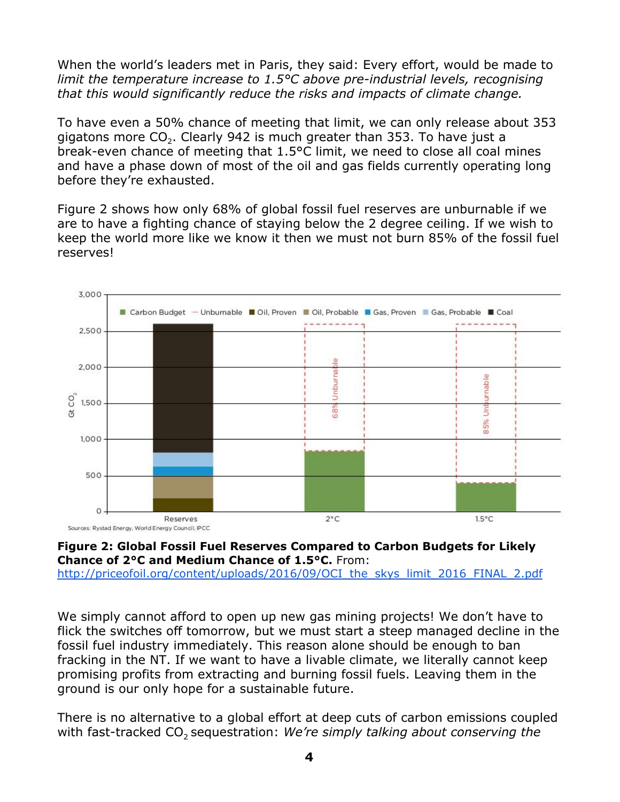When the world's leaders met in Paris, they said: Every effort, would be made to *limit the temperature increase to 1.5°C above pre-industrial levels, recognising that this would significantly reduce the risks and impacts of climate change.*

To have even a 50% chance of meeting that limit, we can only release about 353 gigatons more CO<sub>2</sub>. Clearly 942 is much greater than 353. To have just a break-even chance of meeting that 1.5°C limit, we need to close all coal mines and have a phase down of most of the oil and gas fields currently operating long before they're exhausted.

Figure 2 shows how only 68% of global fossil fuel reserves are unburnable if we are to have a fighting chance of staying below the 2 degree ceiling. If we wish to keep the world more like we know it then we must not burn 85% of the fossil fuel reserves!





[http://priceofoil.org/content/uploads/2016/09/OCI\\_the\\_skys\\_limit\\_2016\\_FINAL\\_2.pdf](http://priceofoil.org/content/uploads/2016/09/OCI_the_skys_limit_2016_FINAL_2.pdf)

We simply cannot afford to open up new gas mining projects! We don't have to flick the switches off tomorrow, but we must start a steep managed decline in the fossil fuel industry immediately. This reason alone should be enough to ban fracking in the NT. If we want to have a livable climate, we literally cannot keep promising profits from extracting and burning fossil fuels. Leaving them in the ground is our only hope for a sustainable future.

There is no alternative to a global effort at deep cuts of carbon emissions coupled with fast-tracked CO<sub>2</sub> sequestration: *We're simply talking about conserving the*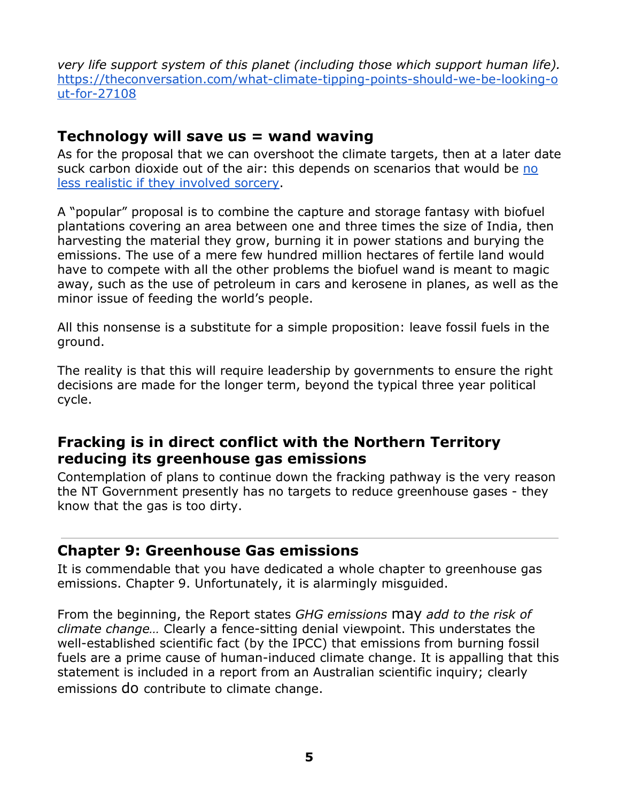*very life support system of this planet (including those which support human life).* [https://theconversation.com/what-climate-tipping-points-should-we-be-looking-o](https://theconversation.com/what-climate-tipping-points-should-we-be-looking-out-for-27108) [ut-for-27108](https://theconversation.com/what-climate-tipping-points-should-we-be-looking-out-for-27108)

#### **Technology will save us = wand waving**

As for the proposal that we can overshoot the climate targets, then at a later date suck carbon dioxide out of the air: this depends on scenarios that would be [no](http://kevinanderson.info/blog/the-hidden-agenda-how-veiled-techno-utopias-shore-up-the-paris-agreement/) less realistic if they [involved](http://kevinanderson.info/blog/the-hidden-agenda-how-veiled-techno-utopias-shore-up-the-paris-agreement/) sorcery.

A "popular" proposal is to combine the capture and storage fantasy with biofuel plantations covering an area between one and three times the size of India, then harvesting the material they grow, burning it in power stations and burying the emissions. The use of a mere few hundred million hectares of fertile land would have to compete with all the other problems the biofuel wand is meant to magic away, such as the use of petroleum in cars and kerosene in planes, as well as the minor issue of feeding the world's people.

All this nonsense is a substitute for a simple proposition: leave fossil fuels in the ground.

The reality is that this will require leadership by governments to ensure the right decisions are made for the longer term, beyond the typical three year political cycle.

### **Fracking is in direct conflict with the Northern Territory reducing its greenhouse gas emissions**

Contemplation of plans to continue down the fracking pathway is the very reason the NT Government presently has no targets to reduce greenhouse gases - they know that the gas is too dirty.

#### **Chapter 9: Greenhouse Gas emissions**

It is commendable that you have dedicated a whole chapter to greenhouse gas emissions. Chapter 9. Unfortunately, it is alarmingly misguided.

From the beginning, the Report states *GHG emissions* may *add to the risk of climate change…* Clearly a fence-sitting denial viewpoint. This understates the well-established scientific fact (by the IPCC) that emissions from burning fossil fuels are a prime cause of human-induced climate change. It is appalling that this statement is included in a report from an Australian scientific inquiry; clearly emissions do contribute to climate change.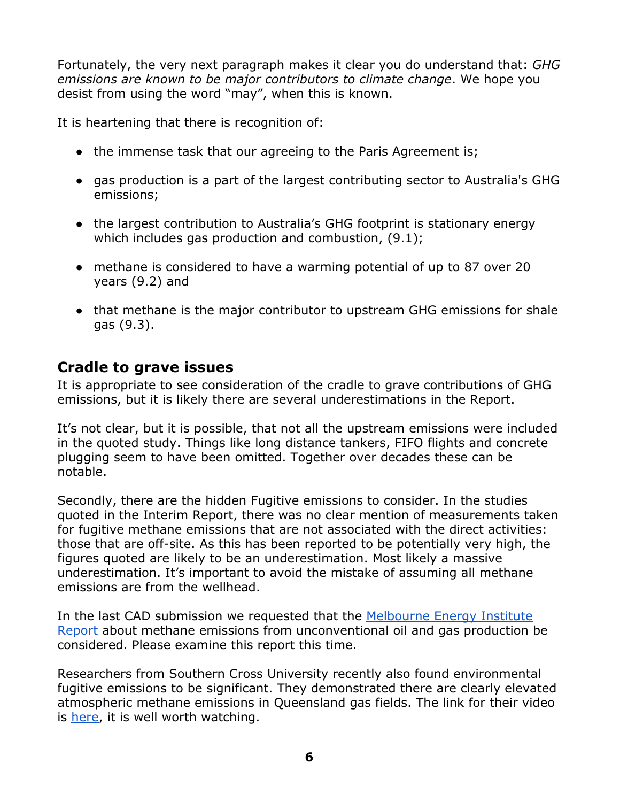Fortunately, the very next paragraph makes it clear you do understand that: *GHG emissions are known to be major contributors to climate change*. We hope you desist from using the word "may", when this is known.

It is heartening that there is recognition of:

- the immense task that our agreeing to the Paris Agreement is;
- gas production is a part of the largest contributing sector to Australia's GHG emissions;
- the largest contribution to Australia's GHG footprint is stationary energy which includes gas production and combustion, (9.1);
- methane is considered to have a warming potential of up to 87 over 20 years (9.2) and
- that methane is the major contributor to upstream GHG emissions for shale gas (9.3).

### **Cradle to grave issues**

It is appropriate to see consideration of the cradle to grave contributions of GHG emissions, but it is likely there are several underestimations in the Report.

It's not clear, but it is possible, that not all the upstream emissions were included in the quoted study. Things like long distance tankers, FIFO flights and concrete plugging seem to have been omitted. Together over decades these can be notable.

Secondly, there are the hidden Fugitive emissions to consider. In the studies quoted in the Interim Report, there was no clear mention of measurements taken for fugitive methane emissions that are not associated with the direct activities: those that are off-site. As this has been reported to be potentially very high, the figures quoted are likely to be an underestimation. Most likely a massive underestimation. It's important to avoid the mistake of assuming all methane emissions are from the wellhead.

In the last CAD submission we requested that the [Melbourne](http://energy.unimelb.edu.au/__data/assets/pdf_file/0019/2136223/MEI-Review-of-Methane-Emissions-26-October-2016.pdf) Energy Institute [Report](http://energy.unimelb.edu.au/__data/assets/pdf_file/0019/2136223/MEI-Review-of-Methane-Emissions-26-October-2016.pdf) about methane emissions from unconventional oil and gas production be considered. Please examine this report this time.

Researchers from Southern Cross University recently also found environmental fugitive emissions to be significant. They demonstrated there are clearly elevated atmospheric methane emissions in Queensland gas fields. The link for their video is [here,](http://scu.edu.au/coastal-biogeochemistry/index.php/70/) it is well worth watching.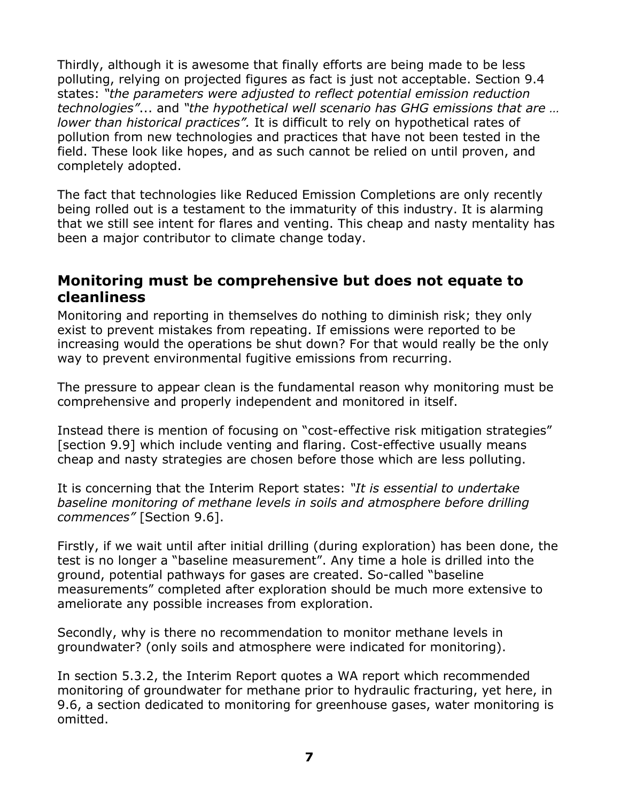Thirdly, although it is awesome that finally efforts are being made to be less polluting, relying on projected figures as fact is just not acceptable. Section 9.4 states: *"the parameters were adjusted to reflect potential emission reduction technologies"*... and *"the hypothetical well scenario has GHG emissions that are … lower than historical practices".* It is difficult to rely on hypothetical rates of pollution from new technologies and practices that have not been tested in the field. These look like hopes, and as such cannot be relied on until proven, and completely adopted.

The fact that technologies like Reduced Emission Completions are only recently being rolled out is a testament to the immaturity of this industry. It is alarming that we still see intent for flares and venting. This cheap and nasty mentality has been a major contributor to climate change today.

#### **Monitoring must be comprehensive but does not equate to cleanliness**

Monitoring and reporting in themselves do nothing to diminish risk; they only exist to prevent mistakes from repeating. If emissions were reported to be increasing would the operations be shut down? For that would really be the only way to prevent environmental fugitive emissions from recurring.

The pressure to appear clean is the fundamental reason why monitoring must be comprehensive and properly independent and monitored in itself.

Instead there is mention of focusing on "cost-effective risk mitigation strategies" [section 9.9] which include venting and flaring. Cost-effective usually means cheap and nasty strategies are chosen before those which are less polluting.

It is concerning that the Interim Report states: *"It is essential to undertake baseline monitoring of methane levels in soils and atmosphere before drilling commences"* [Section 9.6].

Firstly, if we wait until after initial drilling (during exploration) has been done, the test is no longer a "baseline measurement". Any time a hole is drilled into the ground, potential pathways for gases are created. So-called "baseline measurements" completed after exploration should be much more extensive to ameliorate any possible increases from exploration.

Secondly, why is there no recommendation to monitor methane levels in groundwater? (only soils and atmosphere were indicated for monitoring).

In section 5.3.2, the Interim Report quotes a WA report which recommended monitoring of groundwater for methane prior to hydraulic fracturing, yet here, in 9.6, a section dedicated to monitoring for greenhouse gases, water monitoring is omitted.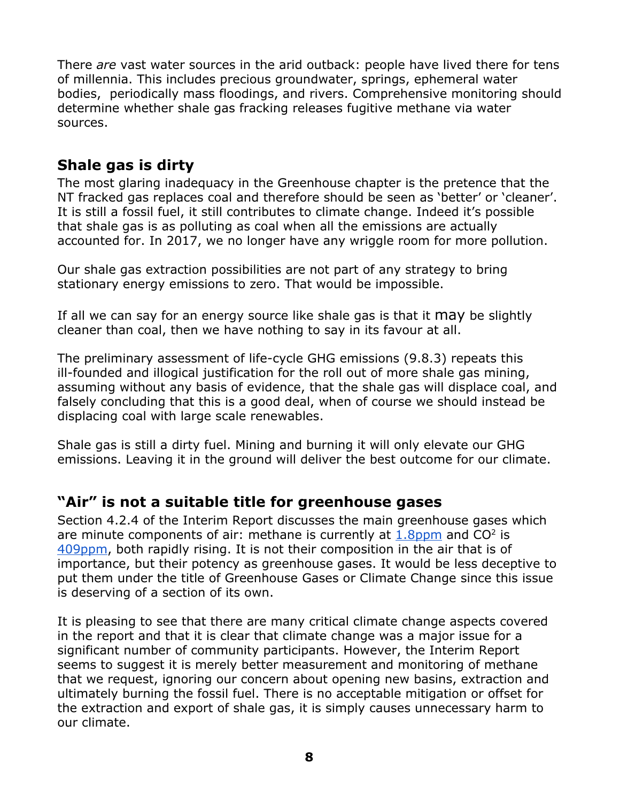There *are* vast water sources in the arid outback: people have lived there for tens of millennia. This includes precious groundwater, springs, ephemeral water bodies, periodically mass floodings, and rivers. Comprehensive monitoring should determine whether shale gas fracking releases fugitive methane via water sources.

## **Shale gas is dirty**

The most glaring inadequacy in the Greenhouse chapter is the pretence that the NT fracked gas replaces coal and therefore should be seen as 'better' or 'cleaner'. It is still a fossil fuel, it still contributes to climate change. Indeed it's possible that shale gas is as polluting as coal when all the emissions are actually accounted for. In 2017, we no longer have any wriggle room for more pollution.

Our shale gas extraction possibilities are not part of any strategy to bring stationary energy emissions to zero. That would be impossible.

If all we can say for an energy source like shale gas is that it may be slightly cleaner than coal, then we have nothing to say in its favour at all.

The preliminary assessment of life-cycle GHG emissions (9.8.3) repeats this ill-founded and illogical justification for the roll out of more shale gas mining, assuming without any basis of evidence, that the shale gas will displace coal, and falsely concluding that this is a good deal, when of course we should instead be displacing coal with large scale renewables.

Shale gas is still a dirty fuel. Mining and burning it will only elevate our GHG emissions. Leaving it in the ground will deliver the best outcome for our climate.

### **"Air" is not a suitable title for greenhouse gases**

Section 4.2.4 of the Interim Report discusses the main greenhouse gases which are minute components of air: methane is currently at  $1.8$ ppm and CO<sup>2</sup> is [409ppm](https://www.co2.earth/), both rapidly rising. It is not their composition in the air that is of importance, but their potency as greenhouse gases. It would be less deceptive to put them under the title of Greenhouse Gases or Climate Change since this issue is deserving of a section of its own.

It is pleasing to see that there are many critical climate change aspects covered in the report and that it is clear that climate change was a major issue for a significant number of community participants. However, the Interim Report seems to suggest it is merely better measurement and monitoring of methane that we request, ignoring our concern about opening new basins, extraction and ultimately burning the fossil fuel. There is no acceptable mitigation or offset for the extraction and export of shale gas, it is simply causes unnecessary harm to our climate.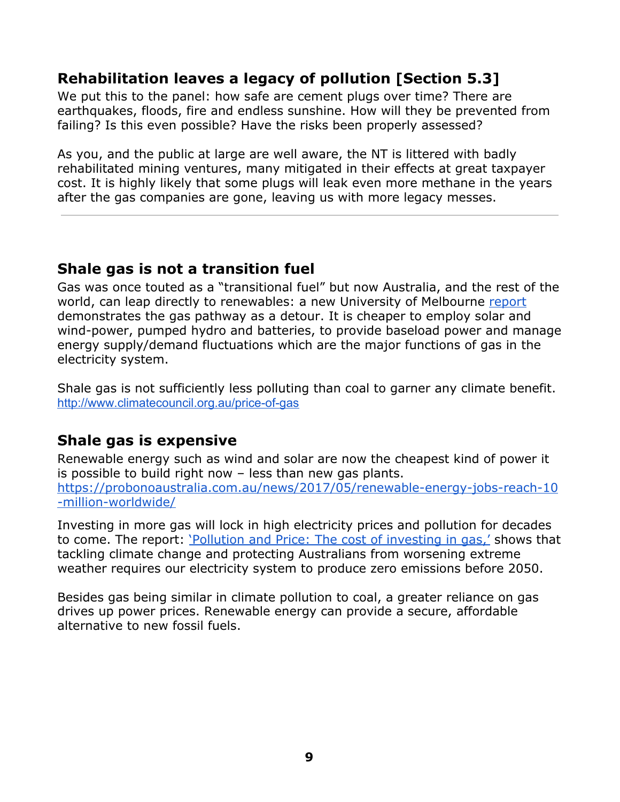## **Rehabilitation leaves a legacy of pollution [Section 5.3]**

We put this to the panel: how safe are cement plugs over time? There are earthquakes, floods, fire and endless sunshine. How will they be prevented from failing? Is this even possible? Have the risks been properly assessed?

As you, and the public at large are well aware, the NT is littered with badly rehabilitated mining ventures, many mitigated in their effects at great taxpayer cost. It is highly likely that some plugs will leak even more methane in the years after the gas companies are gone, leaving us with more legacy messes.

### **Shale gas is not a transition fuel**

Gas was once touted as a "transitional fuel" but now Australia, and the rest of the world, can leap directly to renewables: a new University of Melbourne [report](https://indaily.com.au/news/local/2017/05/18/gas-no-longer-needed-transitional-fuel-report/) demonstrates the gas pathway as a detour. It is cheaper to employ solar and wind-power, pumped hydro and batteries, to provide baseload power and manage energy supply/demand fluctuations which are the major functions of gas in the electricity system.

Shale gas is not sufficiently less polluting than coal to garner any climate benefit. <http://www.climatecouncil.org.au/price-of-gas>

## **Shale gas is expensive**

Renewable energy such as wind and solar are now the cheapest kind of power it is possible to build right now – less than new gas plants. [https://probonoaustralia.com.au/news/2017/05/renewable-energy-jobs-reach-10](https://probonoaustralia.com.au/news/2017/05/renewable-energy-jobs-reach-10-million-worldwide/) [-million-worldwide/](https://probonoaustralia.com.au/news/2017/05/renewable-energy-jobs-reach-10-million-worldwide/)

Investing in more gas will lock in high electricity prices and pollution for decades to come. The report: ['Pollution](http://www.climatecouncil.org.au/price-of-gas) and Price: The cost of investing in gas,' shows that tackling climate change and protecting Australians from worsening extreme weather requires our electricity system to produce zero emissions before 2050.

Besides gas being similar in climate pollution to coal, a greater reliance on gas drives up power prices. Renewable energy can provide a secure, affordable alternative to new fossil fuels[.](http://www.climatecouncil.org.au/price-of-gas)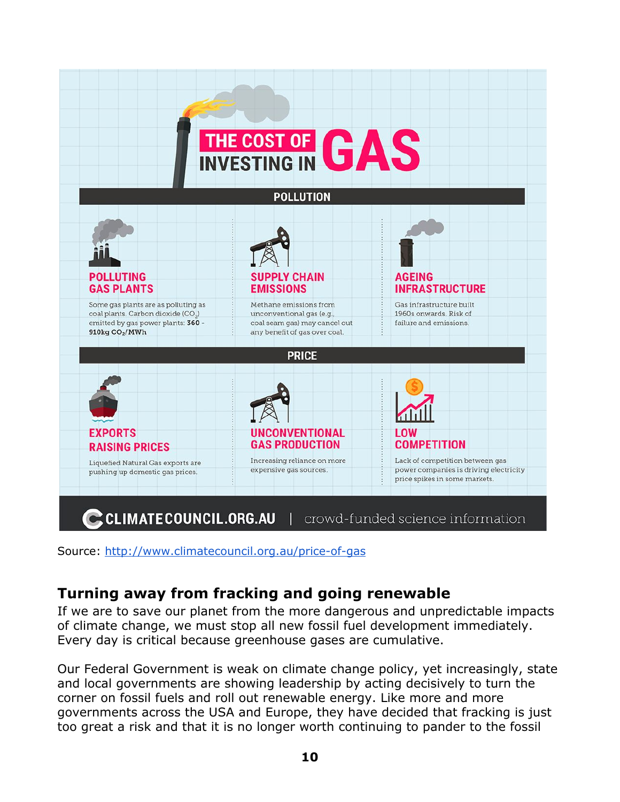

Source: <http://www.climatecouncil.org.au/price-of-gas>

## **Turning away from fracking and going renewable**

If we are to save our planet from the more dangerous and unpredictable impacts of climate change, we must stop all new fossil fuel development immediately. Every day is critical because greenhouse gases are cumulative.

Our Federal Government is weak on climate change policy, yet increasingly, state and local governments are showing leadership by acting decisively to turn the corner on fossil fuels and roll out renewable energy. Like more and more governments across the USA and Europe, they have decided that fracking is just too great a risk and that it is no longer worth continuing to pander to the fossil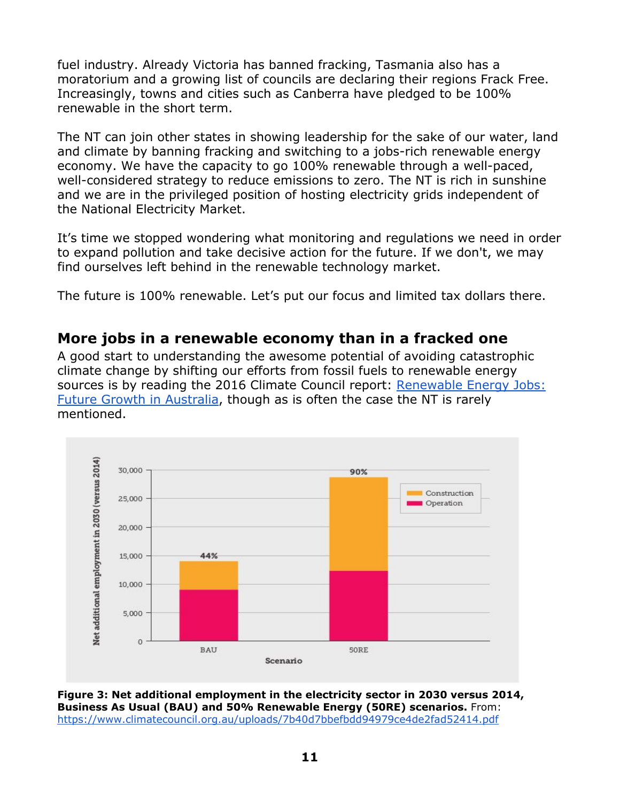fuel industry. Already Victoria has banned fracking, Tasmania also has a moratorium and a growing list of councils are declaring their regions Frack Free. Increasingly, towns and cities such as Canberra have pledged to be 100% renewable in the short term.

The NT can join other states in showing leadership for the sake of our water, land and climate by banning fracking and switching to a jobs-rich renewable energy economy. We have the capacity to go 100% renewable through a well-paced, well-considered strategy to reduce emissions to zero. The NT is rich in sunshine and we are in the privileged position of hosting electricity grids independent of the National Electricity Market.

It's time we stopped wondering what monitoring and regulations we need in order to expand pollution and take decisive action for the future. If we don't, we may find ourselves left behind in the renewable technology market.

The future is 100% renewable. Let's put our focus and limited tax dollars there.

### **More jobs in a renewable economy than in a fracked one**

A good start to understanding the awesome potential of avoiding catastrophic climate change by shifting our efforts from fossil fuels to renewable energy sources is by reading the 2016 Climate Council report: [Renewable](https://www.climatecouncil.org.au/uploads/7b40d7bbefbdd94979ce4de2fad52414.pdf) Energy Jobs: Future Growth in [Australia,](https://www.climatecouncil.org.au/uploads/7b40d7bbefbdd94979ce4de2fad52414.pdf) though as is often the case the NT is rarely mentioned.



**Figure 3: Net additional employment in the electricity sector in 2030 versus 2014, Business As Usual (BAU) and 50% Renewable Energy (50RE) scenarios.** From: <https://www.climatecouncil.org.au/uploads/7b40d7bbefbdd94979ce4de2fad52414.pdf>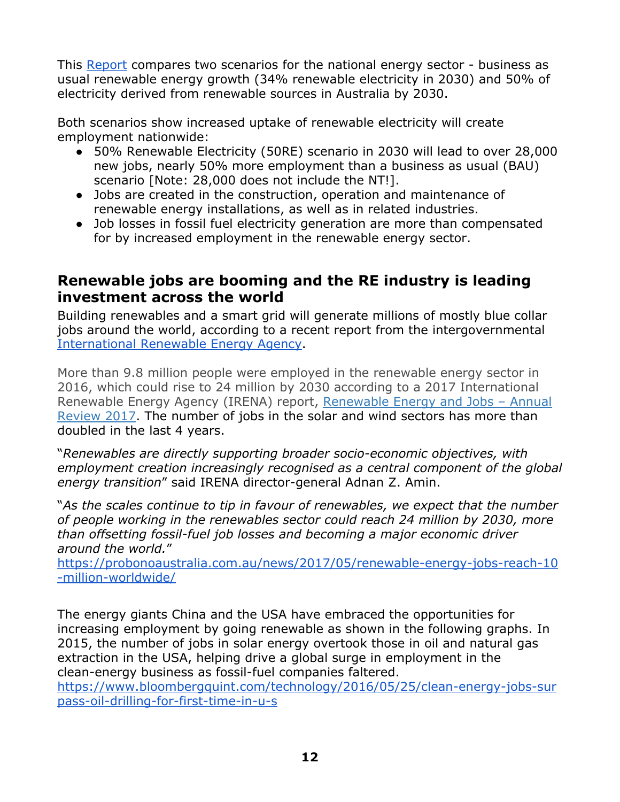This [Report](https://www.climatecouncil.org.au/uploads/7b40d7bbefbdd94979ce4de2fad52414.pdf) compares two scenarios for the national energy sector - business as usual renewable energy growth (34% renewable electricity in 2030) and 50% of electricity derived from renewable sources in Australia by 2030.

Both scenarios show increased uptake of renewable electricity will create employment nationwide:

- 50% Renewable Electricity (50RE) scenario in 2030 will lead to over 28,000 new jobs, nearly 50% more employment than a business as usual (BAU) scenario [Note: 28,000 does not include the NT!].
- Jobs are created in the construction, operation and maintenance of renewable energy installations, as well as in related industries.
- Job losses in fossil fuel electricity generation are more than compensated for by increased employment in the renewable energy sector.

### **Renewable jobs are booming and the RE industry is leading investment across the world**

Building renewables and a smart grid will generate millions of mostly blue collar jobs around the world, according to a recent report from the intergovernmental [International](http://www.irena.org/menu/index.aspx?CatID=141&PriMenuID=36&SubcatID=690&mnu=Subcat) Renewable Energy Agency.

More than 9.8 million people were employed in the renewable energy sector in 2016, which could rise to 24 million by 2030 according to a 2017 International Renewable Energy Agency (IRENA) report, [Renewable](http://www.irena.org/DocumentDownloads/Publications/IRENA_RE_Jobs_Annual_Review_2017.pdf) Energy and Jobs – Annual [Review](http://www.irena.org/DocumentDownloads/Publications/IRENA_RE_Jobs_Annual_Review_2017.pdf) 2017. The number of jobs in the solar and wind sectors has more than doubled in the last 4 years.

"*Renewables are directly supporting broader socio-economic objectives, with employment creation increasingly recognised as a central component of the global energy transition*" said IRENA director-general Adnan Z. Amin.

"*As the scales continue to tip in favour of renewables, we expect that the number of people working in the renewables sector could reach 24 million by 2030, more than offsetting fossil-fuel job losses and becoming a major economic driver around the world.*"

[https://probonoaustralia.com.au/news/2017/05/renewable-energy-jobs-reach-10](https://probonoaustralia.com.au/news/2017/05/renewable-energy-jobs-reach-10-million-worldwide/) [-million-worldwide/](https://probonoaustralia.com.au/news/2017/05/renewable-energy-jobs-reach-10-million-worldwide/)

The energy giants China and the USA have embraced the opportunities for increasing employment by going renewable as shown in the following graphs. In 2015, the number of jobs in solar energy overtook those in oil and natural gas extraction in the USA, helping drive a global surge in employment in the clean-energy business as fossil-fuel companies faltered.

[https://www.bloombergquint.com/technology/2016/05/25/clean-energy-jobs-sur](https://www.bloombergquint.com/technology/2016/05/25/clean-energy-jobs-surpass-oil-drilling-for-first-time-in-u-s) [pass-oil-drilling-for-first-time-in-u-s](https://www.bloombergquint.com/technology/2016/05/25/clean-energy-jobs-surpass-oil-drilling-for-first-time-in-u-s)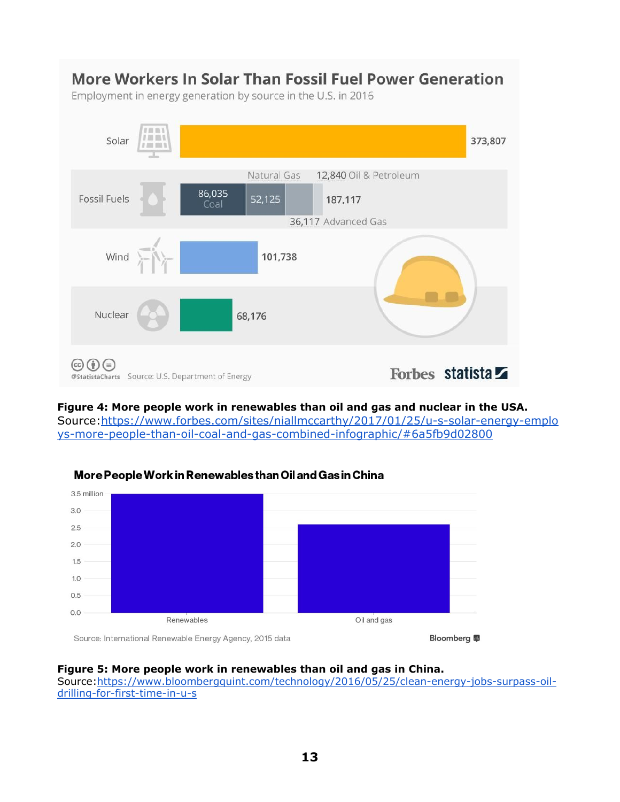

#### **Figure 4: More people work in renewables than oil and gas and nuclear in the USA.** Source:[https://www.forbes.com/sites/niallmccarthy/2017/01/25/u-s-solar-energy-emplo](https://www.forbes.com/sites/niallmccarthy/2017/01/25/u-s-solar-energy-employs-more-people-than-oil-coal-and-gas-combined-infographic/#6a5fb9d028) [ys-more-people-than-oil-coal-and-gas-combined-infographic/#6a5fb9d02800](https://www.forbes.com/sites/niallmccarthy/2017/01/25/u-s-solar-energy-employs-more-people-than-oil-coal-and-gas-combined-infographic/#6a5fb9d028)



#### More People Work in Renewables than Oil and Gas in China

Source: International Renewable Energy Agency, 2015 data

#### **Figure 5: More people work in renewables than oil and gas in China.**

Source[:https://www.bloombergquint.com/technology/2016/05/25/clean-energy-jobs-surpass-oil](https://www.bloombergquint.com/technology/2016/05/25/clean-energy-jobs-surpass-oil-drilling-for-first-time-in-u-s)[drilling-for-first-time-in-u-s](https://www.bloombergquint.com/technology/2016/05/25/clean-energy-jobs-surpass-oil-drilling-for-first-time-in-u-s)